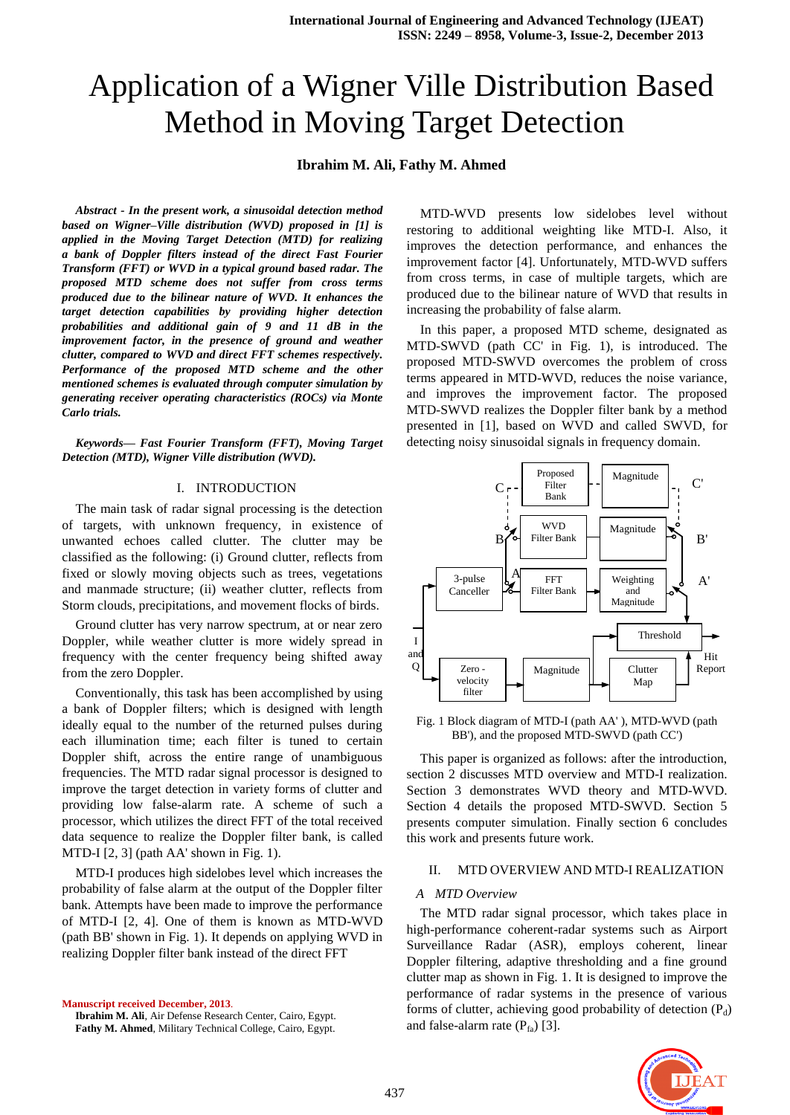# Application of a Wigner Ville Distribution Based Method in Moving Target Detection

# **Ibrahim M. Ali, Fathy M. Ahmed**

*Abstract - In the present work, a sinusoidal detection method based on Wigner–Ville distribution (WVD) proposed in [1] is applied in the Moving Target Detection (MTD) for realizing a bank of Doppler filters instead of the direct Fast Fourier Transform (FFT) or WVD in a typical ground based radar. The proposed MTD scheme does not suffer from cross terms produced due to the bilinear nature of WVD. It enhances the target detection capabilities by providing higher detection probabilities and additional gain of 9 and 11 dB in the improvement factor, in the presence of ground and weather clutter, compared to WVD and direct FFT schemes respectively. Performance of the proposed MTD scheme and the other mentioned schemes is evaluated through computer simulation by generating receiver operating characteristics (ROCs) via Monte Carlo trials.*

*Keywords— Fast Fourier Transform (FFT), Moving Target Detection (MTD), Wigner Ville distribution (WVD).*

# I. INTRODUCTION

The main task of radar signal processing is the detection of targets, with unknown frequency, in existence of unwanted echoes called clutter. The clutter may be classified as the following: (i) Ground clutter, reflects from fixed or slowly moving objects such as trees, vegetations and manmade structure; (ii) weather clutter, reflects from Storm clouds, precipitations, and movement flocks of birds.

Ground clutter has very narrow spectrum, at or near zero Doppler, while weather clutter is more widely spread in frequency with the center frequency being shifted away from the zero Doppler.

Conventionally, this task has been accomplished by using a bank of Doppler filters; which is designed with length ideally equal to the number of the returned pulses during each illumination time; each filter is tuned to certain Doppler shift, across the entire range of unambiguous frequencies. The MTD radar signal processor is designed to improve the target detection in variety forms of clutter and providing low false-alarm rate. A scheme of such a processor, which utilizes the direct FFT of the total received data sequence to realize the Doppler filter bank, is called MTD-I [2, 3] (path AA' shown in Fig. 1).

MTD-I produces high sidelobes level which increases the probability of false alarm at the output of the Doppler filter bank. Attempts have been made to improve the performance of MTD-I [2, 4]. One of them is known as MTD-WVD (path BB' shown in Fig. 1). It depends on applying WVD in realizing Doppler filter bank instead of the direct FFT

**Manuscript received December, 2013**. **Ibrahim M. Ali**, Air Defense Research Center, Cairo, Egypt. **Fathy M. Ahmed**, Military Technical College, Cairo, Egypt.

MTD-WVD presents low sidelobes level without restoring to additional weighting like MTD-I. Also, it improves the detection performance, and enhances the improvement factor [4]. Unfortunately, MTD-WVD suffers from cross terms, in case of multiple targets, which are produced due to the bilinear nature of WVD that results in increasing the probability of false alarm.

In this paper, a proposed MTD scheme, designated as MTD-SWVD (path CC' in Fig. 1), is introduced. The proposed MTD-SWVD overcomes the problem of cross terms appeared in MTD-WVD, reduces the noise variance, and improves the improvement factor. The proposed MTD-SWVD realizes the Doppler filter bank by a method presented in [1], based on WVD and called SWVD, for detecting noisy sinusoidal signals in frequency domain.



Fig. 1 Block diagram of MTD-I (path AA' ), MTD-WVD (path BB'), and the proposed MTD-SWVD (path CC')

This paper is organized as follows: after the introduction, section 2 discusses MTD overview and MTD-I realization. Section 3 demonstrates WVD theory and MTD-WVD. Section 4 details the proposed MTD-SWVD. Section 5 presents computer simulation. Finally section 6 concludes this work and presents future work.

# II. MTD OVERVIEW AND MTD-I REALIZATION

#### *A MTD Overview*

The MTD radar signal processor, which takes place in high-performance coherent-radar systems such as Airport Surveillance Radar (ASR), employs coherent, linear Doppler filtering, adaptive thresholding and a fine ground clutter map as shown in Fig. 1. It is designed to improve the performance of radar systems in the presence of various forms of clutter, achieving good probability of detection  $(P_d)$ and false-alarm rate  $(P_f)$  [3].

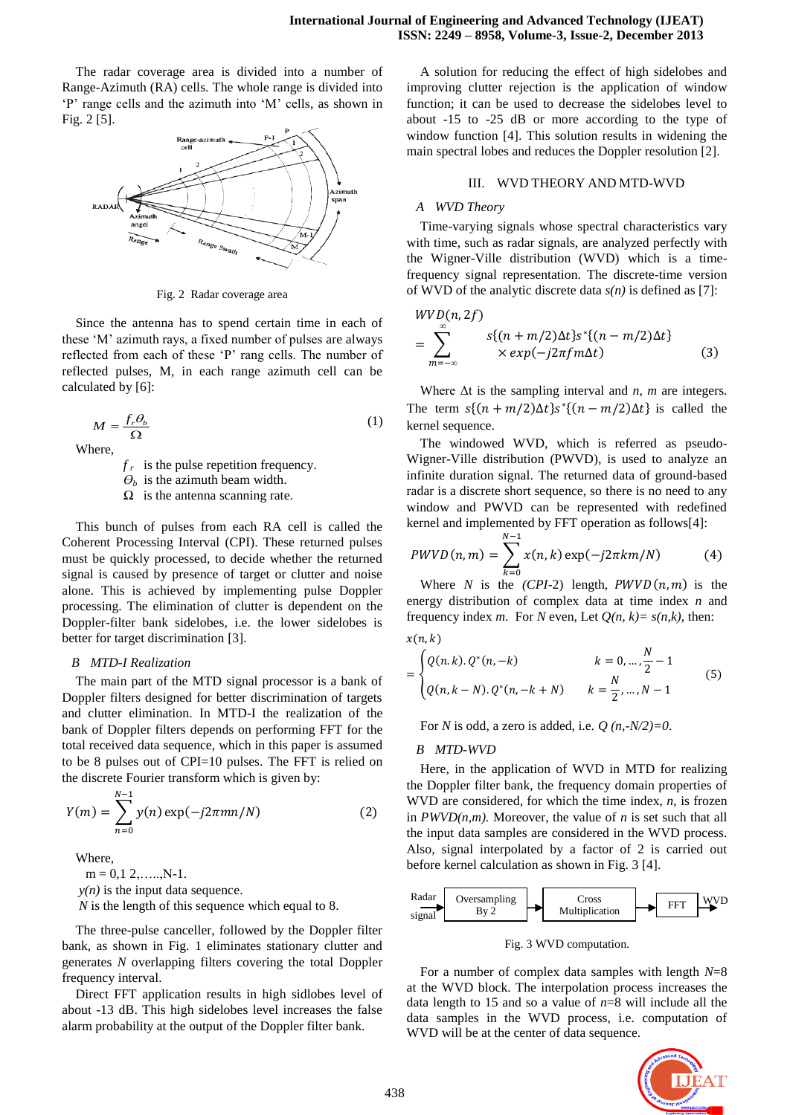The radar coverage area is divided into a number of Range-Azimuth (RA) cells. The whole range is divided into 'P' range cells and the azimuth into 'M' cells, as shown in Fig. 2 [5].



Fig. 2 Radar coverage area

Since the antenna has to spend certain time in each of these 'M' azimuth rays, a fixed number of pulses are always reflected from each of these 'P' rang cells. The number of reflected pulses, M, in each range azimuth cell can be calculated by [6]:

$$
M = \frac{f_r \theta_b}{\Omega} \tag{1}
$$

Where,

 $f_r$  is the pulse repetition frequency.

 $\theta_b$  is the azimuth beam width.

*Ω* is the antenna scanning rate.

This bunch of pulses from each RA cell is called the Coherent Processing Interval (CPI). These returned pulses must be quickly processed, to decide whether the returned signal is caused by presence of target or clutter and noise alone. This is achieved by implementing pulse Doppler processing. The elimination of clutter is dependent on the Doppler-filter bank sidelobes, i.e. the lower sidelobes is better for target discrimination [3].

## *B MTD-I Realization*

The main part of the MTD signal processor is a bank of Doppler filters designed for better discrimination of targets and clutter elimination. In MTD-I the realization of the bank of Doppler filters depends on performing FFT for the total received data sequence, which in this paper is assumed to be 8 pulses out of CPI=10 pulses. The FFT is relied on the discrete Fourier transform which is given by:

$$
Y(m) = \sum_{n=0}^{N-1} y(n) \exp(-j2\pi mn/N)
$$
 (2)

Where,

 $m = 0,1,2, \ldots, N-1.$ 

 $y(n)$  is the input data sequence.

*N* is the length of this sequence which equal to 8.

The three-pulse canceller, followed by the Doppler filter bank, as shown in Fig. 1 eliminates stationary clutter and generates *N* overlapping filters covering the total Doppler frequency interval.

Direct FFT application results in high sidlobes level of about -13 dB. This high sidelobes level increases the false alarm probability at the output of the Doppler filter bank.

A solution for reducing the effect of high sidelobes and improving clutter rejection is the application of window function; it can be used to decrease the sidelobes level to about -15 to -25 dB or more according to the type of window function [4]. This solution results in widening the main spectral lobes and reduces the Doppler resolution [2].

# III. WVD THEORY AND MTD-WVD

## *A WVD Theory*

Time-varying signals whose spectral characteristics vary with time, such as radar signals, are analyzed perfectly with the Wigner-Ville distribution (WVD) which is a timefrequency signal representation. The discrete-time version of WVD of the analytic discrete data *s(n)* is defined as [7]:

$$
WVD(n, 2f)
$$
  
= 
$$
\sum_{m=-\infty}^{\infty} s\{(n+m/2)\Delta t\}s^*\{(n-m/2)\Delta t\}
$$
  
×  $exp(-j2\pi fm\Delta t)$  (3)

Where Δt is the sampling interval and *n, m* are integers. The term  $s(n+m/2)\Delta t$   $s^{*}(n-m/2)\Delta t$  is called the kernel sequence.

The windowed WVD, which is referred as pseudo-Wigner-Ville distribution (PWVD), is used to analyze an infinite duration signal. The returned data of ground-based radar is a discrete short sequence, so there is no need to any window and PWVD can be represented with redefined kernel and implemented by FFT operation as follows[4]:

$$
PWVD(n,m) = \sum_{k=0}^{N-1} x(n,k) \exp(-j2\pi km/N)
$$
 (4)

Where *N* is the  $(CPI-2)$  length,  $PWVD(n, m)$  is the energy distribution of complex data at time index *n* and frequency index *m*. For *N* even, Let  $Q(n, k) = s(n, k)$ , then:

$$
x(n,k)
$$

$$
= \begin{cases} Q(n,k), Q^*(n,-k) & k = 0, \dots, \frac{N}{2} - 1 \\ Q(n,k-N), Q^*(n,-k+N) & k = \frac{N}{2}, \dots, N - 1 \end{cases}
$$
(5)

For *N* is odd, a zero is added, i.e.  $Q(n,-N/2)=0$ .

#### *B MTD-WVD*

Here, in the application of WVD in MTD for realizing the Doppler filter bank, the frequency domain properties of WVD are considered, for which the time index, *n*, is frozen in  $PWVD(n,m)$ . Moreover, the value of *n* is set such that all the input data samples are considered in the WVD process. Also, signal interpolated by a factor of 2 is carried out before kernel calculation as shown in Fig. 3 [4].



Fig. 3 WVD computation.

For a number of complex data samples with length *N*=8 at the WVD block. The interpolation process increases the data length to 15 and so a value of *n*=8 will include all the data samples in the WVD process, i.e. computation of WVD will be at the center of data sequence.

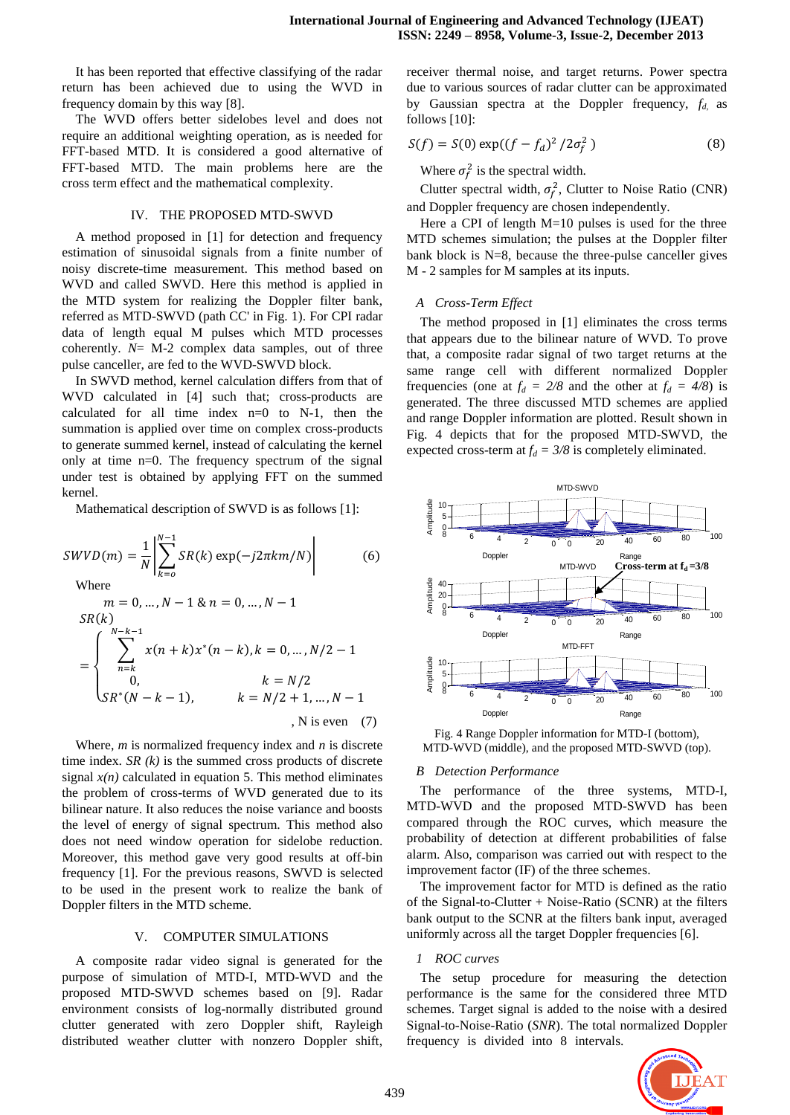It has been reported that effective classifying of the radar return has been achieved due to using the WVD in frequency domain by this way [8].

The WVD offers better sidelobes level and does not require an additional weighting operation, as is needed for FFT-based MTD. It is considered a good alternative of FFT-based MTD. The main problems here are the cross term effect and the mathematical complexity.

#### IV. THE PROPOSED MTD-SWVD

A method proposed in [1] for detection and frequency estimation of sinusoidal signals from a finite number of noisy discrete-time measurement. This method based on WVD and called SWVD. Here this method is applied in the MTD system for realizing the Doppler filter bank, referred as MTD-SWVD (path CC' in Fig. 1). For CPI radar data of length equal M pulses which MTD processes coherently. *N*= M-2 complex data samples, out of three pulse canceller, are fed to the WVD-SWVD block.

In SWVD method, kernel calculation differs from that of WVD calculated in [4] such that; cross-products are calculated for all time index  $n=0$  to N-1, then the summation is applied over time on complex cross-products to generate summed kernel, instead of calculating the kernel only at time n=0. The frequency spectrum of the signal under test is obtained by applying FFT on the summed kernel.

Mathematical description of SWVD is as follows [1]:

$$
SWVD(m) = \frac{1}{N} \left| \sum_{k=0}^{N-1} SR(k) \exp(-j2\pi k m/N) \right|
$$
(6)  
\nWhere  
\n
$$
m = 0, ..., N - 1 \& n = 0, ..., N - 1
$$
  
\n
$$
SR(k)
$$
  
\n
$$
= \begin{cases}\n\sum_{n=k}^{N-k-1} x(n+k)x^{*}(n-k), k = 0, ..., N/2 - 1 \\
0, & k = N/2 \\
SR^{*}(N - k - 1), & k = N/2 + 1, ..., N - 1 \\
, N \text{ is even} \end{cases}
$$
(7)

Where, *m* is normalized frequency index and *n* is discrete time index. *SR (k)* is the summed cross products of discrete signal  $x(n)$  calculated in equation 5. This method eliminates the problem of cross-terms of WVD generated due to its bilinear nature. It also reduces the noise variance and boosts the level of energy of signal spectrum. This method also does not need window operation for sidelobe reduction. Moreover, this method gave very good results at off-bin frequency [1]. For the previous reasons, SWVD is selected to be used in the present work to realize the bank of Doppler filters in the MTD scheme.

## V. COMPUTER SIMULATIONS

A composite radar video signal is generated for the purpose of simulation of MTD-I, MTD-WVD and the proposed MTD-SWVD schemes based on [9]. Radar environment consists of log-normally distributed ground clutter generated with zero Doppler shift, Rayleigh distributed weather clutter with nonzero Doppler shift,

receiver thermal noise, and target returns. Power spectra due to various sources of radar clutter can be approximated by Gaussian spectra at the Doppler frequency, *fd,* as follows [10]:

$$
S(f) = S(0) \exp((f - f_d)^2 / 2\sigma_f^2)
$$
 (8)

Where  $\sigma_f^2$  is the spectral width.

Clutter spectral width,  $\sigma_f^2$ , Clutter to Noise Ratio (CNR) and Doppler frequency are chosen independently.

Here a CPI of length  $M=10$  pulses is used for the three MTD schemes simulation; the pulses at the Doppler filter bank block is N=8, because the three-pulse canceller gives M - 2 samples for M samples at its inputs.

#### *A Cross-Term Effect*

The method proposed in [1] eliminates the cross terms that appears due to the bilinear nature of WVD. To prove that, a composite radar signal of two target returns at the same range cell with different normalized Doppler frequencies (one at  $f_d = 2/8$  and the other at  $f_d = 4/8$ ) is generated. The three discussed MTD schemes are applied and range Doppler information are plotted. Result shown in Fig. 4 depicts that for the proposed MTD-SWVD, the expected cross-term at  $f_d = 3/8$  is completely eliminated.



Fig. 4 Range Doppler information for MTD-I (bottom), MTD-WVD (middle), and the proposed MTD-SWVD (top).

#### *B Detection Performance*

The performance of the three systems, MTD-I, MTD-WVD and the proposed MTD-SWVD has been compared through the ROC curves, which measure the probability of detection at different probabilities of false alarm. Also, comparison was carried out with respect to the improvement factor (IF) of the three schemes.

The improvement factor for MTD is defined as the ratio of the Signal-to-Clutter + Noise-Ratio (SCNR) at the filters bank output to the SCNR at the filters bank input, averaged uniformly across all the target Doppler frequencies [6].

#### *1 ROC curves*

The setup procedure for measuring the detection performance is the same for the considered three MTD schemes. Target signal is added to the noise with a desired Signal-to-Noise-Ratio (*SNR*). The total normalized Doppler frequency is divided into 8 intervals.

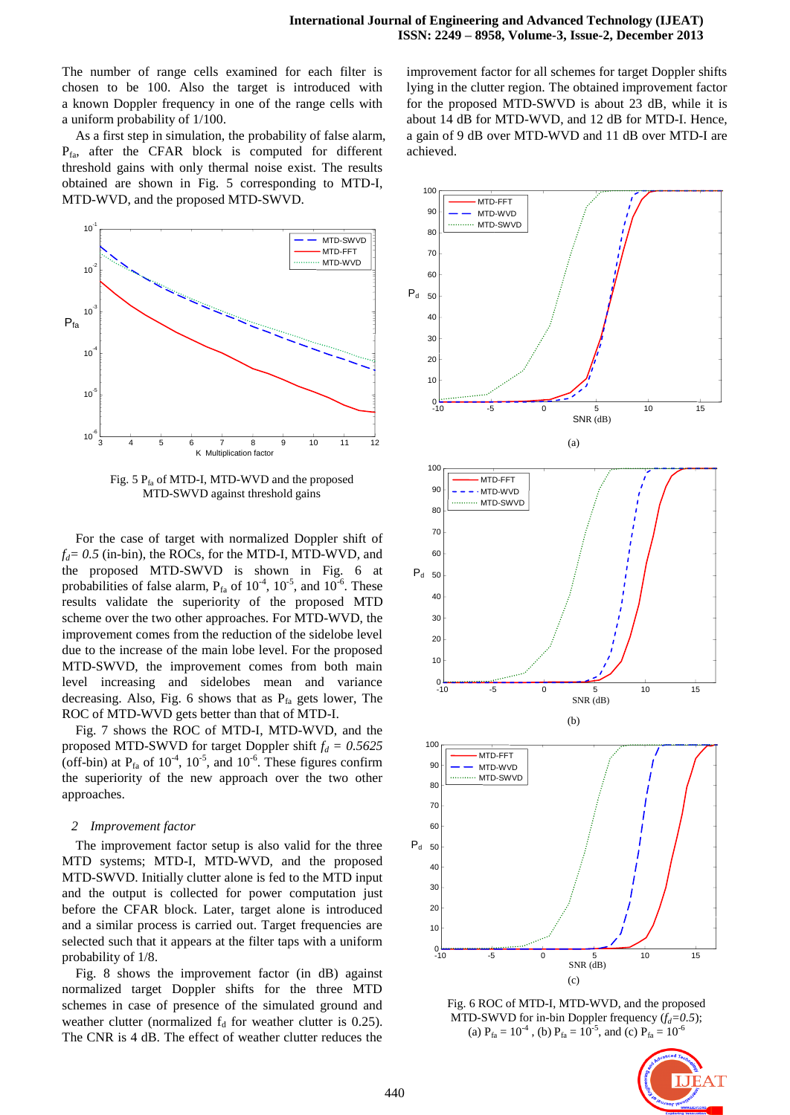The number of range cells examined for each filter is chosen to be 100. Also the target is introduced with a known Doppler frequency in one of the range cells with a uniform probability of 1/100.

As a first step in simulation, the probability of false alarm,  $P_{fa}$ , after the CFAR block is computed for different threshold gains with only thermal noise exist. The results obtained are shown in Fig. 5 corresponding to MTD-I, MTD-WVD, and the proposed MTD-SWVD.



Fig. 5  $P<sub>f<sub>a</sub></sub>$  of MTD-I, MTD-WVD and the proposed MTD-SWVD against threshold gains

For the case of target with normalized Doppler shift of  $f_d = 0.5$  (in-bin), the ROCs, for the MTD-I, MTD-WVD, and the proposed MTD-SWVD is shown in Fig. 6 at probabilities of false alarm,  $P_{fa}$  of  $10^{-4}$ ,  $10^{-5}$ , and  $10^{-6}$ . These results validate the superiority of the proposed MTD scheme over the two other approaches. For MTD-WVD, the improvement comes from the reduction of the sidelobe level due to the increase of the main lobe level. For the proposed MTD-SWVD, the improvement comes from both main level increasing and sidelobes mean and variance decreasing. Also, Fig. 6 shows that as  $P_{fa}$  gets lower, The ROC of MTD-WVD gets better than that of MTD-I.

Fig. 7 shows the ROC of MTD-I, MTD-WVD, and the proposed MTD-SWVD for target Doppler shift  $f_d = 0.5625$ (off-bin) at  $P_{fa}$  of  $10^{-4}$ ,  $10^{-5}$ , and  $10^{-6}$ . These figures confirm the superiority of the new approach over the two other approaches.

#### *2 Improvement factor*

The improvement factor setup is also valid for the three MTD systems; MTD-I, MTD-WVD, and the proposed MTD-SWVD. Initially clutter alone is fed to the MTD input and the output is collected for power computation just before the CFAR block. Later, target alone is introduced and a similar process is carried out. Target frequencies are selected such that it appears at the filter taps with a uniform probability of 1/8.

Fig. 8 shows the improvement factor (in dB) against normalized target Doppler shifts for the three MTD schemes in case of presence of the simulated ground and weather clutter (normalized  $f_d$  for weather clutter is 0.25). The CNR is 4 dB. The effect of weather clutter reduces the

improvement factor for all schemes for target Doppler shifts lying in the clutter region. The obtained improvement factor for the proposed MTD-SWVD is about 23 dB, while it is about 14 dB for MTD-WVD, and 12 dB for MTD-I. Hence, a gain of 9 dB over MTD-WVD and 11 dB over MTD-I are achieved.